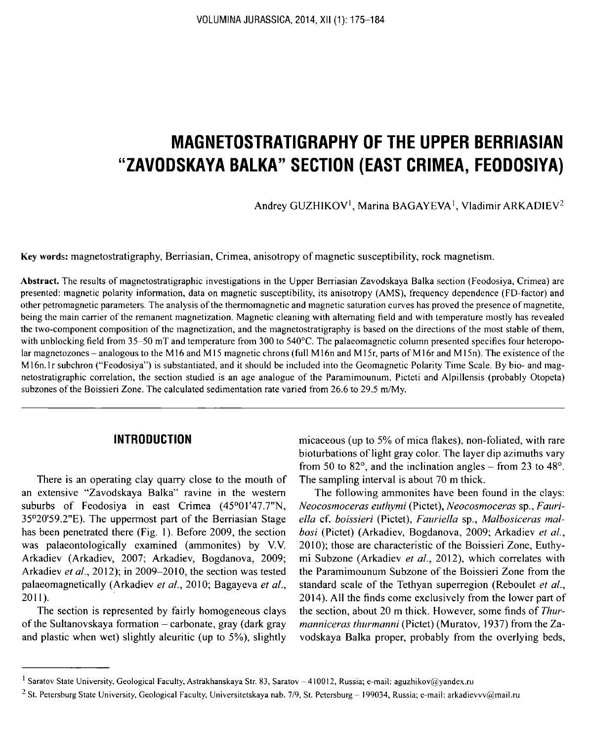# **MAGNETOSTRATIGRAPHY OF THE UPPER BERRIASIAN "ZAVODSKAYA BALKA" SECTION (EAST CRIMEA, FEODOSIYA)**

Andrey GUZHIKOV<sup>1</sup>, Marina BAGAYEVA<sup>1</sup>, Vladimir ARKADIEV<sup>2</sup>

Key words: magnetostratigraphy, Berriasian, Crimea, anisotropy of magnetic susceptibility, rock magnetism.

Abstract. The results of magnetostratigraphic investigations in the Upper Berriasian Zavodskaya Balka section (Feodosiya, Crimea) are presented: magnetic polarity information, data on magnetic susceptibility, its anisotropy (AMS), frequency dependence (FD-factor) and other petromagnetic parameters. The analysis of the thermomagnetic and magnetic saturation curves has proved the presence of magnetite, being the main carrier of the remanent magnetization. Magnetic cleaning with alternating field and with temperature mostly has revealed the two-component composition of the magnetization, and the magnetostratigraphy is based on the directions of the most stable of them, with unblocking field from 35-50 mT and temperature from 300 to 540°C. The palaeomagnetic column presented specifies four heteropolar magnetozones - analogous to the M16 and M15 magnetic chrons (full M16n and M15r, parts of M16r and M15n). The existence of the M16n.lr subchron ("Feodosiya") is substantiated, and it should be included into the Geomagnetic Polarity Time Scale. By bio- and magnetostratigraphic correlation, the section studied is an age analogue of the Paramimounum, Picteti and Alpillensis (probably Otopeta) subzones of the Boissieri Zone. The calculated sedimentation rate varied from 26.6 to 29.5 m/My.

## **INTRODUCTION**

There is an operating clay quarry close to the mouth of an extensive "Zavodskaya Balka" ravine in the western suburbs of Feodosiya in east Crimea (45°01'47.7"N, 35°20'59.2"E). The uppermost part of the Berriasian Stage has been penetrated there (Fig. 1). Before 2009, the section was palaeontologically examined (ammonites) by V.V. Arkadiev (Arkadiev, 2007; Arkadiev, Bogdanova, 2009; Arkadiev *et al.,* 2012); in 2009-2010, the section was tested palaeomagnetically (Arkadiev *et al.,* 2010; Bagayeva *et al.,* 2011 ).

The section is represented by fairly homogeneous clays of the Sultanovskaya formation - carbonate, gray (dark gray and plastic when wet) slightly aleuritic (up to 5%), slightly micaceous (up to 5% of mica flakes), non-foliated, with rare bioturbations of light gray color. The layer dip azimuths vary from 50 to 82 $^{\circ}$ , and the inclination angles – from 23 to 48 $^{\circ}$ . The sampling interval is about 70 m thick.

The following ammonites have been found in the clays: *Neocosmoceras euthymi* (Pictet), *Neocosmoceras* sp., *Faitriella* cf. *boissieri* (Pictet), *Fauriella* sp., *Malbosiceras mal*bosi (Pictet) (Arkadiev, Bogdanova, 2009; Arkadiev et al., 2010); those are characteristic of the Boissieri Zone, Euthymi Subzone (Arkadiev *et al.,* 2012), which correlates with the Paramimounum Subzone of the Boissieri Zone from the standard scale of the Tethyan superregion (Reboulet *et al.,* 2014). All the finds come exclusively from the lower part of the section, about 20 m thick. However, some finds of *Thurmanniceras thurmanni* (Pictet) (Muratov, 1937) from the Zavodskaya Balka proper, probably from the overlying beds,

<sup>&</sup>lt;sup>1</sup> Saratov State University, Geological Faculty, Astrakhanskaya Str. 83, Saratov - 410012, Russia; e-mail: aguzhikov@yandex.ru

<sup>&</sup>lt;sup>2</sup> St. Petersburg State University, Geological Faculty, Universitetskaya nab. 7/9, St. Petersburg - 199034, Russia; e-mail: arkadievvv@mail.ru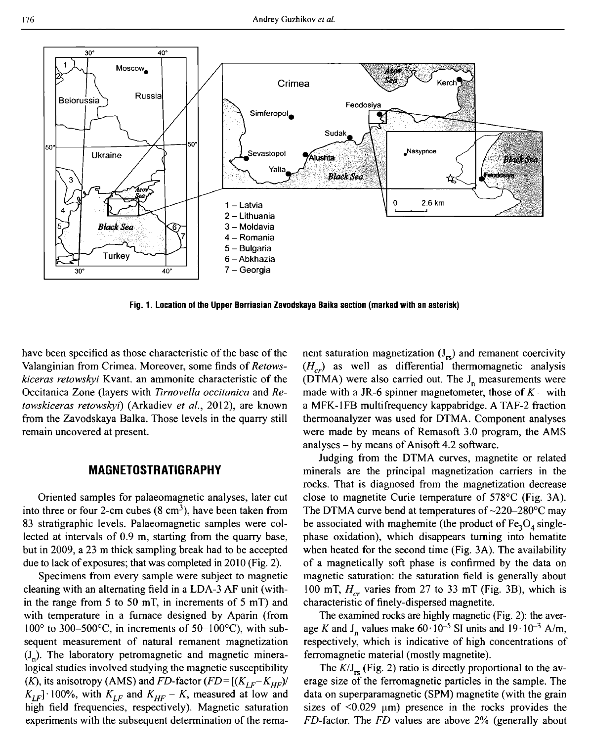

**Fig. 1. Location of the Upper Berriasian Zavodskaya Baika section (marked with an asterisk)**

have been specified as those characteristic of the base of the Valanginian from Crimea. Moreover, some finds of *Retowskiceras retowskyi* Kvant. an ammonite characteristic of the Occitanica Zone (layers with *Tirnovella occitanica* and *Retowskiceras retowskyi)* (Arkadiev *et al.,* 2012), are known from the Zavodskaya Balka. Those levels in the quarry still remain uncovered at present.

#### **MAGNETOSTRATIGRAPHY**

Oriented samples for palaeomagnetic analyses, later cut into three or four 2-cm cubes  $(8 \text{ cm}^3)$ , have been taken from 83 stratigraphie levels. Palaeomagnetic samples were collected at intervals of 0.9 m, starting from the quarry base, but in 2009, a 23 m thick sampling break had to be accepted due to lack of exposures; that was completed in 2010 (Fig. 2).

Specimens from every sample were subject to magnetic cleaning with an alternating field in a LDA-3 AF unit (within the range from 5 to 50 mT, in increments of 5 mT) and with temperature in a furnace designed by Aparin (from  $100^{\circ}$  to 300–500°C, in increments of 50–100°C), with subsequent measurement of natural remanent magnetization  $(J_n)$ . The laboratory petromagnetic and magnetic mineralogical studies involved studying the magnetic susceptibility *(K), its anisotropy (AMS) and FD-factor*  $(FD = [(K_{LF} - K_{HF})/K_{HF})$  $K_{LF}$  100%, with  $K_{LF}$  and  $K_{HF} - K$ , measured at low and high field frequencies, respectively). Magnetic saturation experiments with the subsequent determination of the remanent saturation magnetization  $(J_{rs})$  and remanent coercivity  $(H<sub>cr</sub>)$  as well as differential thermomagnetic analysis (DTMA) were also carried out. The  $J_n$  measurements were made with a JR-6 spinner magnetometer, those of  $K$  – with a MFK-1FB multifrequency kappabridge. A TAF-2 fraction thermoanalyzer was used for DTMA. Component analyses were made by means of Remasoft 3.0 program, the AMS analyses  $-$  by means of Anisoft 4.2 software.

Judging from the DTMA curves, magnetite or related minerals are the principal magnetization carriers in the rocks. That is diagnosed from the magnetization decrease close to magnetite Curie temperature of 578°C (Fig. ЗА). The DTMA curve bend at temperatures of ~220-280°C may be associated with maghemite (the product of  $Fe<sub>3</sub>O<sub>4</sub>$  singlephase oxidation), which disappears turning into hematite when heated for the second time (Fig. 3A). The availability of a magnetically soft phase is confirmed by the data on magnetic saturation: the saturation field is generally about 100 mT,  $H_{cr}$  varies from 27 to 33 mT (Fig. 3B), which is characteristic of finely-dispersed magnetite.

The examined rocks are highly magnetic (Fig. 2): the average K and J<sub>n</sub> values make  $60 \cdot 10^{-5}$  SI units and  $19 \cdot 10^{-3}$  A/m, respectively, which is indicative of high concentrations of ferromagnetic material (mostly magnetite).

The  $K/J_{rs}$  (Fig. 2) ratio is directly proportional to the average size of the ferromagnetic particles in the sample. The data on superparamagnetic (SPM) magnetite (with the grain sizes of  $\leq 0.029$  µm) presence in the rocks provides the FD-factor. The *FD* values are above 2% (generally about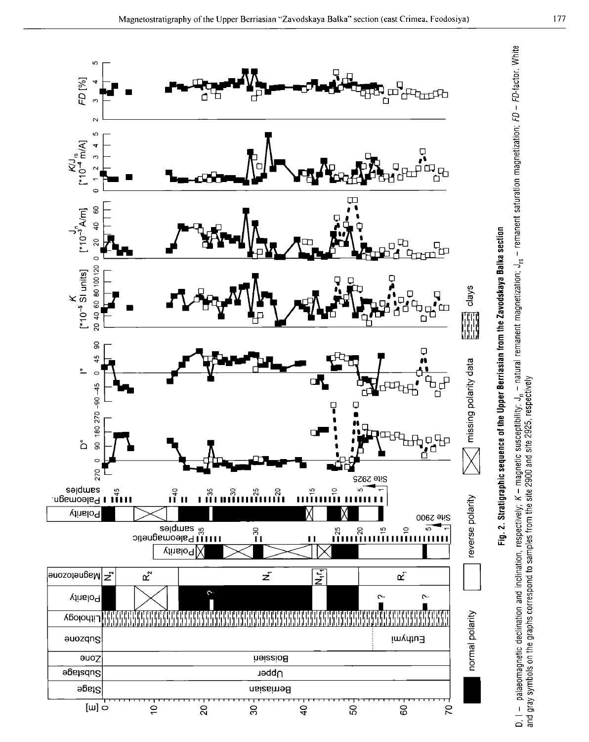

Б Б

оз

—- ი<br>- ე<br>- ე<br>- ე

etic suscepti<br>and site 2925

- palaeomagnetic declination<br>gray symbols on the graphs co

I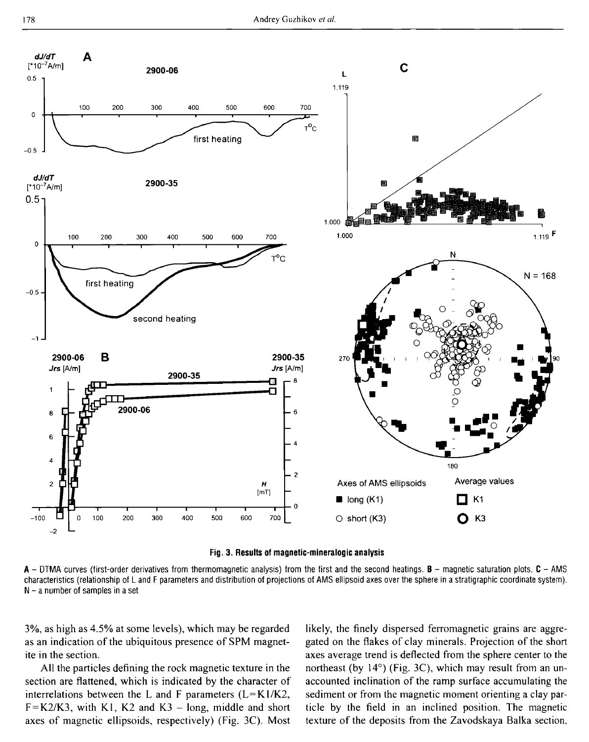

**Fig. 3. Results of magnetic-mineralogic analysis**

**A** - DTMA curves (first-order derivatives from therm om agnetic analysis) from the first and the second heatings. **В** - magnetic saturation plots. **С** - AMS characteristics (relationship of L and F parameters and distribution of projections of AMS ellipsoid axes over the sphere in a stratigraphie coordinate system).  $N - a$  number of samples in a set

3%, as high as 4.5% at some levels), which may be regarded as an indication of the ubiquitous presence of SPM magnetite in the section.

All the particles defining the rock magnetic texture in the section are flattened, which is indicated by the character of interrelations between the L and F parameters  $(L=K1/K2)$ ,  $F = K2/K3$ , with K1, K2 and K3 – long, middle and short axes of magnetic ellipsoids, respectively) (Fig. 3C). Most likely, the finely dispersed ferromagnetic grains are aggregated on the flakes of clay minerals. Projection of the short axes average trend is deflected from the sphere center to the northeast (by 14°) (Fig. 3C), which may result from an unaccounted inclination of the ramp surface accumulating the sediment or from the magnetic moment orienting a clay particle by the field in an inclined position. The magnetic texture of the deposits from the Zavodskaya Balka section,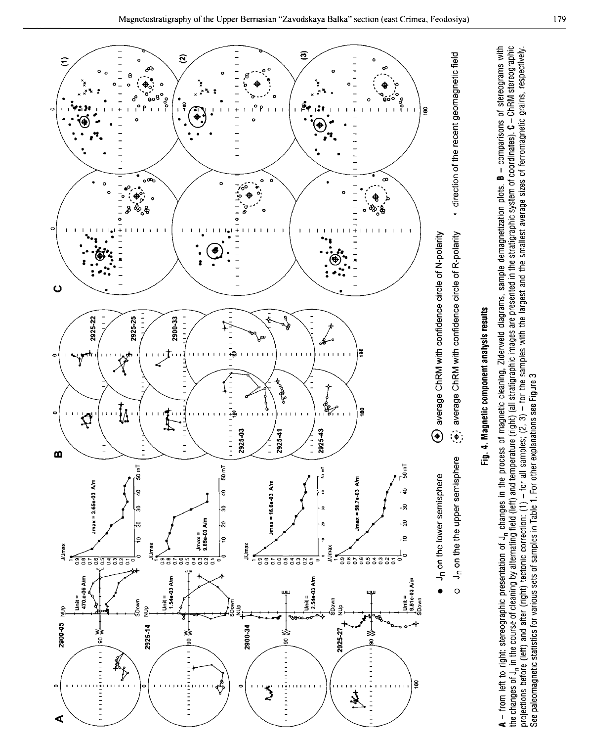

A – from left to right: stereographic presentation of J., changes in the process of magnetic cleaning, Ziderweld diagrams, sample demagnetization plots. B – comparisons of stereographic<br>the changes of J., in the course of projections before (left) and after (right) tectonic correction: (1) – for all samples; (2, 3) – for the samples with the largest and the smallest average sizes of ferromagnetic grains, respectively.<br>See paleomagnetic stat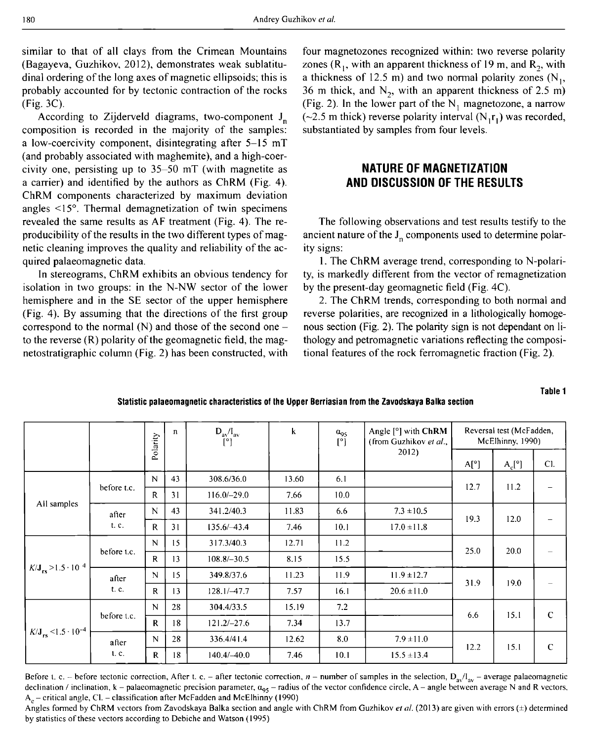similar to that of all clays from the Crimean Mountains (Bagayeva, Guzhikov, 2012), demonstrates weak sublatitudinal ordering of the long axes of magnetic ellipsoids; this is probably accounted for by tectonic contraction of the rocks (Fig. 3C).

According to Zijderveld diagrams, two-component  $J_n$ composition is recorded in the majority of the samples: a low-coercivity component, disintegrating after 5-15 mT (and probably associated with maghemite), and a high-coercivity one, persisting up to 35-50 mT (with magnetite as a carrier) and identified by the authors as ChRM (Fig. 4). ChRM components characterized by maximum deviation angles <15°. Thermal demagnetization of twin specimens revealed the same results as AF treatment (Fig. 4). The reproducibility of the results in the two different types of magnetic cleaning improves the quality and reliability of the acquired palaeomagnetic data.

In stereograms, ChRM exhibits an obvious tendency for isolation in two groups: in the N-NW sector of the lower hemisphere and in the SE sector of the upper hemisphere  $(Fig. 4)$ . By assuming that the directions of the first group correspond to the normal  $(N)$  and those of the second one – to the reverse (R) polarity of the geomagnetic field, the magnetostratigraphic column (Fig. 2) has been constructed, with

four magnetozones recognized within: two reverse polarity zones ( $R_1$ , with an apparent thickness of 19 m, and  $R_2$ , with a thickness of 12.5 m) and two normal polarity zones  $(N_1,$ 36 m thick, and  $N_2$ , with an apparent thickness of 2.5 m) (Fig. 2). In the lower part of the  $N_1$  magnetozone, a narrow (~2.5 m thick) reverse polarity interval  $(N_1 r_1)$  was recorded, substantiated by samples from four levels.

## **NATURE OF MAGNETIZATION AND DISCUSSION OF THE RESULTS**

The following observations and test results testify to the ancient nature of the  $J_n$  components used to determine polarity signs:

1. The ChRM average trend, corresponding to N-polarity, is markedly different from the vector of remagnetization by the present-day geomagnetic field (Fig. 4C).

2. The ChRM trends, corresponding to both normal and reverse polarities, are recognized in a lithologically homogenous section (Fig. 2). The polarity sign is not dependant on lithology and petromagnetic variations reflecting the compositional features of the rock ferromagnetic fraction (Fig. 2).

**Table 1**

**Statistic palaeomagnetic characteristics of the Upper Berriasian from the Zavodskaya Balka section**

|                                           |                | Polarity     | $\mathbf{n}$ | $D_{av}/I_{av}$<br>$\mathsf{I}^\circ$ | k     | $a_{95}$<br>$[^{\circ}]$ | Angle $[°]$ with ChRM<br>(from Guzhikov et al., | Reversal test (McFadden,<br>McElhinny, 1990) |                 |             |
|-------------------------------------------|----------------|--------------|--------------|---------------------------------------|-------|--------------------------|-------------------------------------------------|----------------------------------------------|-----------------|-------------|
|                                           |                |              |              |                                       |       |                          | 2012)                                           | A[°]                                         | $A_c[^{\circ}]$ | Cl.         |
| All samples                               | before t.c.    | N            | 43           | 308.6/36.0                            | 13.60 | 6.1                      |                                                 | 12.7                                         | 11.2            |             |
|                                           |                | R            | 31           | $116.0/-29.0$                         | 7.66  | 10.0                     |                                                 |                                              |                 |             |
|                                           | after<br>t. c. | N            | 43           | 341.2/40.3                            | 11.83 | 6.6                      | $7.3 \pm 10.5$                                  | 19.3                                         | 12.0            |             |
|                                           |                | $\mathbf{R}$ | 31           | $135.6/-43.4$                         | 7.46  | 10.1                     | $17.0 \pm 11.8$                                 |                                              |                 |             |
| $K/J_{rs} > 1.5 \cdot 10^{-4}$            | before t.c.    | N            | 15           | 317.3/40.3                            | 12.71 | 11.2                     |                                                 | 25.0                                         | 20.0            |             |
|                                           |                | R            | 13           | $108.8/-30.5$                         | 8.15  | 15.5                     |                                                 |                                              |                 |             |
|                                           | after<br>t. c. | N            | 15           | 349.8/37.6                            | 11.23 | 11.9                     | $11.9 \pm 12.7$                                 | 31.9                                         | 19.0            |             |
|                                           |                | $\mathbf R$  | 13           | $128.1/-47.7$                         | 7.57  | 16.1                     | $20.6 \pm 11.0$                                 |                                              |                 |             |
| $K/J_{rs}$ < 1.5 $\cdot$ 10 <sup>-4</sup> | before t.c.    | N            | 28           | 304.4/33.5                            | 15.19 | 7.2                      |                                                 | 6.6                                          | 15.1            | $\mathbf C$ |
|                                           |                | $\mathbf{R}$ | 18           | $121.2/-27.6$                         | 7.34  | 13.7                     |                                                 |                                              |                 |             |
|                                           | after          | $\mathbf N$  | 28           | 336.4/41.4                            | 12.62 | 8.0                      | $7.9 \pm 11.0$                                  | 12.2                                         | 15.1            | $\mathbf C$ |
|                                           | 1. C.          | R            | 18           | $140.4/-40.0$                         | 7.46  | 10.1                     | $15.5 \pm 13.4$                                 |                                              |                 |             |

Before t. c. - before tectonic correction, After t. c. - after tectonic correction, *n* - number of samples in the selection,  $D_{av}/I_{av}$  - average palaeomagnetic declination / inclination,  $k -$  palaeomagnetic precision parameter,  $\alpha_{95}$  - radius of the vector confidence circle, A - angle between average N and R vectors,  $A_c$  – critical angle, Cl. – classification after McFadden and McElhinny (1990)

Angles formed by ChRM vectors from Zavodskaya Balka section and angle with ChRM from Guzhikov et al. (2013) are given with errors (±) determined by statistics of these vectors according to Debiche and Watson (1995)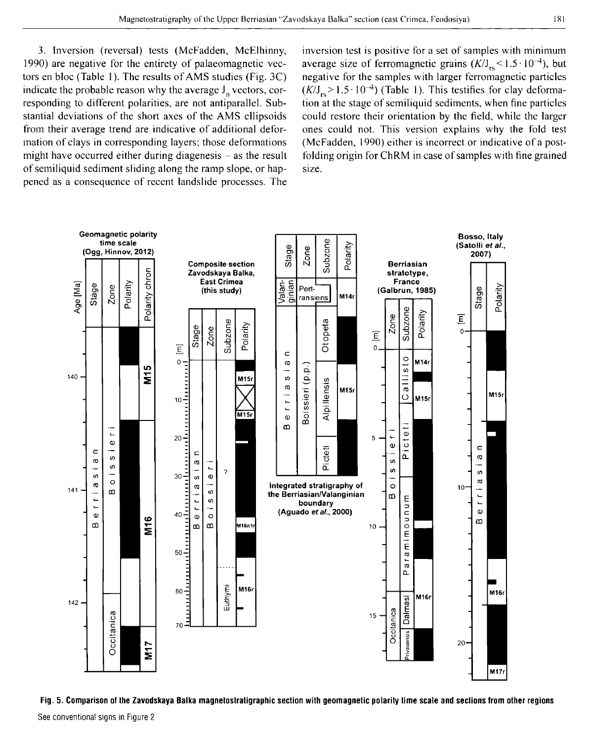3. Inversion (reversal) tests (McFadden, McElhinny, 1990) are negative for the entirety of palaeomagnetic vectors en bloc (Table 1). The results of AMS studies (Fig.  $3C$ ) indicate the probable reason why the average  $J_n$  vectors, corresponding to different polarities, are not antiparallel. Substantial deviations of the short axes of the AMS ellipsoids from their average trend are indicative of additional deformation of clays in corresponding layers; those deformations might have occurred either during diagenesis  $-$  as the result of semiliquid sediment sliding along the ramp slope, or happened as a consequence of recent landslide processes. The

inversion test is positive for a set of samples with minimum average size of ferromagnetic grains  $(K/J_{rs} < 1.5 \cdot 10^{-4})$ , but negative for the samples with larger ferromagnetic particles  $(K/J_{rs} > 1.5 \cdot 10^{-4})$  (Table 1). This testifies for clay deformation at the stage of semiliquid sediments, when fine particles could restore their orientation by the field, while the larger ones could not. This version explains why the fold test (McFadden, 1990) either is incorrect or indicative of a postfolding origin for ChRM in case of samples with fine grained size.



**Fig. 5. Comparison of the Zavodskaya Balka magnetoslratigraphic section with geomagnetic polarity time scale and sections from other regions**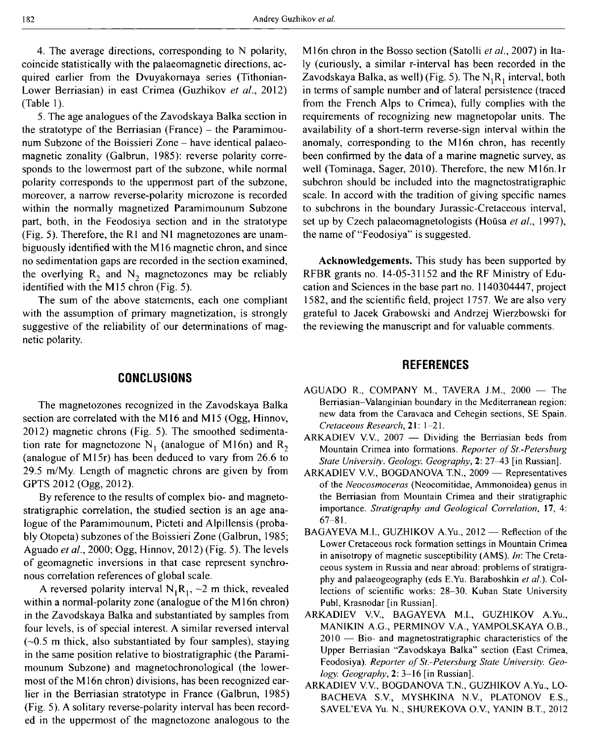4. The average directions, corresponding to N polarity, coincide statistically with the palaeomagnetic directions, acquired earlier from the Dvuyakomaya series (Tithonian-Lower Berriasian) in east Crimea (Guzhikov *et al.,* 2012) (Table 1).

5. The age analogues of the Zavodskaya Balka section in the stratotype of the Berriasian (France) – the Paramimounum Subzone of the Boissieri Zone – have identical palaeomagnetic zonality (Galbrun, 1985): reverse polarity corresponds to the lowermost part of the subzone, while normal polarity corresponds to the uppermost part of the subzone, moreover, a narrow reverse-polarity microzone is recorded within the normally magnetized Paramimounum Subzone part, both, in the Feodosiya section and in the stratotype (Fig. 5). Therefore, the R1 and N1 magnetozones are unambiguously identified with the M16 magnetic chron, and since no sedimentation gaps are recorded in the section examined, the overlying  $R_2$  and  $N_2$  magnetozones may be reliably identified with the M15 chron (Fig. 5).

The sum of the above statements, each one compliant with the assumption of primary magnetization, is strongly suggestive of the reliability of our determinations of magnetic polarity.

#### **CONCLUSIONS**

The magnetozones recognized in the Zavodskaya Balka section are correlated with the M16 and M15 (Ogg, Hinnov, 2012) magnetic chrons (Fig. 5). The smoothed sedimentation rate for magnetozone N<sub>1</sub> (analogue of M16n) and R<sub>2</sub> (analogue of M15r) has been deduced to vary from 26.6 to 29.5 m/My. Length of magnetic chrons are given by from GPTS 2012 (Ogg, 2012).

By reference to the results of complex bio- and magnetostratigraphic correlation, the studied section is an age analogue of the Paramimounum, Picteti and Alpillensis (probably Otopeta) subzones of the Boissieri Zone (Galbrun, 1985; Aguado *et al.,* 2000; Ogg, Hinnov, 2012) (Fig. 5). The levels of geomagnetic inversions in that case represent synchronous correlation references of global scale.

A reversed polarity interval  $N_1R_1$ , ~2 m thick, revealed within a normal-polarity zone (analogue of the M16n chron) in the Zavodskaya Balka and substantiated by samples from four levels, is of special interest. A similar reversed interval  $(-0.5 \text{ m thick},$  also substantiated by four samples), staying in the same position relative to biostratigraphic (the Paramimounum Subzone) and magnetochronological (the lowermost of the M16n chron) divisions, has been recognized earlier in the Berriasian stratotype in France (Galbrun, 1985) (Fig. 5). A solitary reverse-polarity interval has been recorded in the uppermost of the magnetozone analogous to the M16n chron in the Bosso section (Satolli *et al.,* 2007) in Italy (curiously, a similar r-interval has been recorded in the Zavodskaya Balka, as well) (Fig. 5). The  $N_1R_1$  interval, both in terms of sample number and of lateral persistence (traced from the French Alps to Crimea), fully complies with the requirements of recognizing new magnetopolar units. The availability of a short-term reverse-sign interval within the anomaly, corresponding to the M16n chron, has recently been confirmed by the data of a marine magnetic survey, as well (Tominaga, Sager, 2010). Therefore, the new M 16n.lr subchron should be included into the magnetostratigraphic scale. In accord with the tradition of giving specific names to subchrons in the boundary Jurassic-Cretaceous interval, set up by Czech palaeomagnetologists (Hoüsa *et al.,* 1997), the name of "Feodosiya" is suggested.

**Acknowledgements.** This study has been supported by RFBR grants no. 14-05-31152 and the RF Ministry of Education and Sciences in the base part no. 1140304447, project 1582, and the scientific field, project 1757. We are also very grateful to Jacek Grabowski and Andrzej Wierzbowski for the reviewing the manuscript and for valuable comments.

### **REFERENCES**

- AGUADO R., COMPANY M., TAVERA J.M.,  $2000 -$ The Berriasian-Valanginian boundary in the Mediterranean region: new data from the Caravaca and Cehegin sections, SE Spain. *Cretaceous Research,* **21: 1-21.**
- ARKADIEV V.V., 2007 Dividing the Berriasian beds from Mountain Crimea into formations. *Reporter of St.-Petersburg State University. Geology. Geography, 2: 27-43 [in Russian].*
- ARKADIEV V.V., BOGDANOVA T.N., 2009 Representatives of the *Neocosmoceras* (Neocomitidae, Ammonoidea) genus in the Berriasian from Mountain Crimea and their stratigraphie importance. *Stratigraphy and Geological Correlation,* 17, 4: 67-81.
- BAGAYEVA M.I., GUZHIKOV A.Yu., 2012 Reflection of the Lower Cretaceous rock formation settings in Mountain Crimea in anisotropy of magnetic susceptibility (AMS). *In:* The Cretaceous system in Russia and near abroad: problems of stratigraphy and palaeogeography (eds E.Yu. Baraboshkin *et a!.).* Collections of scientific works: 28-30. Kuban State University Publ, Krasnodar [in Russian].
- ARKADIEV V.V., BAGAYEVA M.I., GUZHIKOV A.Yu., MANIKIN A.G., PERMINOV V.A., YAMPOLSKAYA O.B., 2010 — Bio- and magnetostratigraphic characteristics of the Upper Berriasian "Zavodskaya Balka" section (East Crimea, Feodosiya). Reporter of St.-Petersburg State University. Geo*logy. Geography,* 2: 3-16 [in Russian],
- ARKADIEV V.V., BOGDANOVA T.N., GUZHIKOV A.Yu., LO-BACHEVA S.V., MYSHKINA N.V., PLATONOV E.S., SAVEL'EVA Yu. N., SHUREKOVA O.V., YANIN B.T., 2012